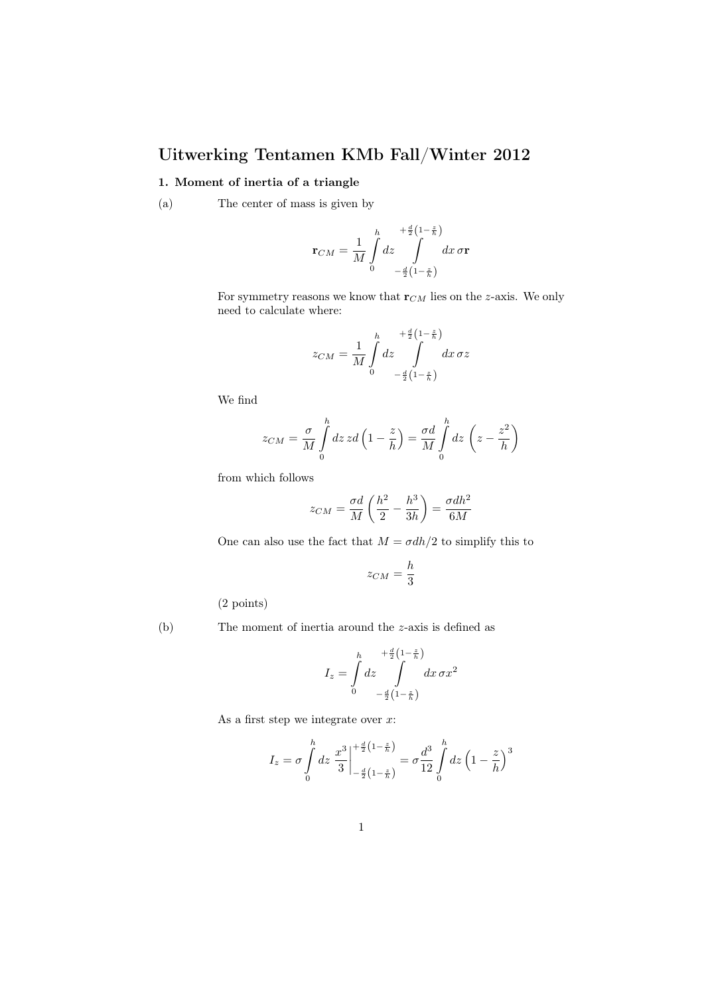## Uitwerking Tentamen KMb Fall/Winter 2012

## 1. Moment of inertia of a triangle

(a) The center of mass is given by

$$
\mathbf{r}_{CM} = \frac{1}{M} \int_{0}^{h} dz \int_{-\frac{d}{2}\left(1 - \frac{z}{h}\right)}^{\frac{d}{2}\left(1 - \frac{z}{h}\right)} dx \,\sigma \mathbf{r}
$$

For symmetry reasons we know that  $\mathbf{r}_{CM}$  lies on the z-axis. We only need to calculate where:

$$
z_{CM} = \frac{1}{M} \int_{0}^{h} dz \int_{-\frac{d}{2}(1-\frac{z}{h})}^{\frac{d}{2}(1-\frac{z}{h})} dx \,\sigma z
$$

We find

$$
z_{CM} = \frac{\sigma}{M} \int_{0}^{h} dz \, zd \left( 1 - \frac{z}{h} \right) = \frac{\sigma d}{M} \int_{0}^{h} dz \, \left( z - \frac{z^2}{h} \right)
$$

from which follows

$$
z_{CM}=\frac{\sigma d}{M}\left(\frac{h^2}{2}-\frac{h^3}{3h}\right)=\frac{\sigma dh^2}{6M}
$$

One can also use the fact that  $M = \sigma dh/2$  to simplify this to

$$
z_{CM} = \frac{h}{3}
$$

(2 points)

(b) The moment of inertia around the z-axis is defined as

$$
I_z = \int\limits_0^h dz \int\limits_{-\frac{d}{2}\left(1-\frac{z}{h}\right)}^{\frac{d}{2}\left(1-\frac{z}{h}\right)} dx \,\sigma x^2
$$

As a first step we integrate over  $x$ :

$$
I_z = \sigma \int_0^h dz \left. \frac{x^3}{3} \right|_{-\frac{d}{2} \left(1 - \frac{z}{h}\right)}^{\frac{d}{2} \left(1 - \frac{z}{h}\right)} = \sigma \frac{d^3}{12} \int_0^h dz \left(1 - \frac{z}{h}\right)^3
$$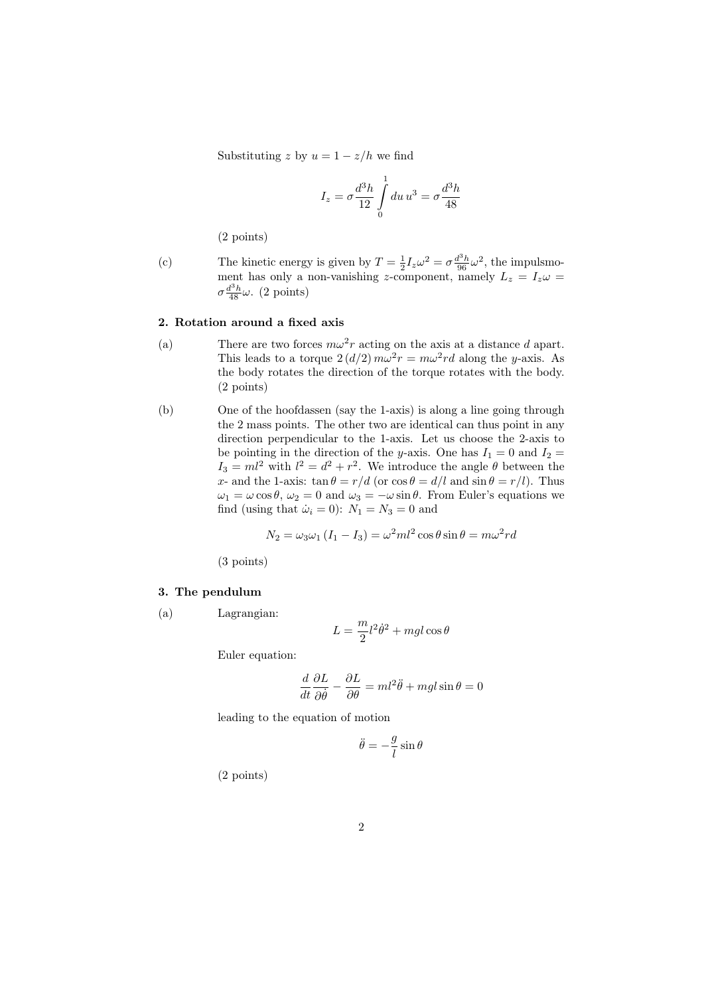Substituting z by  $u = 1 - z/h$  we find

$$
I_z = \sigma \frac{d^3 h}{12} \int_0^1 du \, u^3 = \sigma \frac{d^3 h}{48}
$$

(2 points)

(c) The kinetic energy is given by  $T = \frac{1}{2} I_z \omega^2 = \sigma \frac{d^3 h}{96} \omega^2$ , the impulsmoment has only a non-vanishing z-component, namely  $L_z = I_z \omega =$  $\sigma \frac{d^3 h}{48} \omega$ . (2 points)

## 2. Rotation around a fixed axis

- (a) There are two forces  $m\omega^2 r$  acting on the axis at a distance d apart. This leads to a torque  $2(d/2) m\omega^2 r = m\omega^2 rd$  along the y-axis. As the body rotates the direction of the torque rotates with the body. (2 points)
- (b) One of the hoofdassen (say the 1-axis) is along a line going through the 2 mass points. The other two are identical can thus point in any direction perpendicular to the 1-axis. Let us choose the 2-axis to be pointing in the direction of the y-axis. One has  $I_1 = 0$  and  $I_2 =$  $I_3 = ml^2$  with  $l^2 = d^2 + r^2$ . We introduce the angle  $\theta$  between the x- and the 1-axis:  $\tan \theta = r/d$  (or  $\cos \theta = d/l$  and  $\sin \theta = r/l$ ). Thus  $\omega_1 = \omega \cos \theta$ ,  $\omega_2 = 0$  and  $\omega_3 = -\omega \sin \theta$ . From Euler's equations we find (using that  $\dot{\omega}_i = 0$ ):  $N_1 = N_3 = 0$  and

$$
N_2 = \omega_3 \omega_1 (I_1 - I_3) = \omega^2 m l^2 \cos \theta \sin \theta = m \omega^2 r d
$$

(3 points)

## 3. The pendulum

(a) Lagrangian:

$$
L = \frac{m}{2}l^2\dot{\theta}^2 + mgl\cos\theta
$$

Euler equation:

$$
\frac{d}{dt}\frac{\partial L}{\partial \dot{\theta}} - \frac{\partial L}{\partial \theta} = ml^2 \ddot{\theta} + mgl\sin\theta = 0
$$

leading to the equation of motion

$$
\ddot{\theta} = -\frac{g}{l}\sin\theta
$$

(2 points)